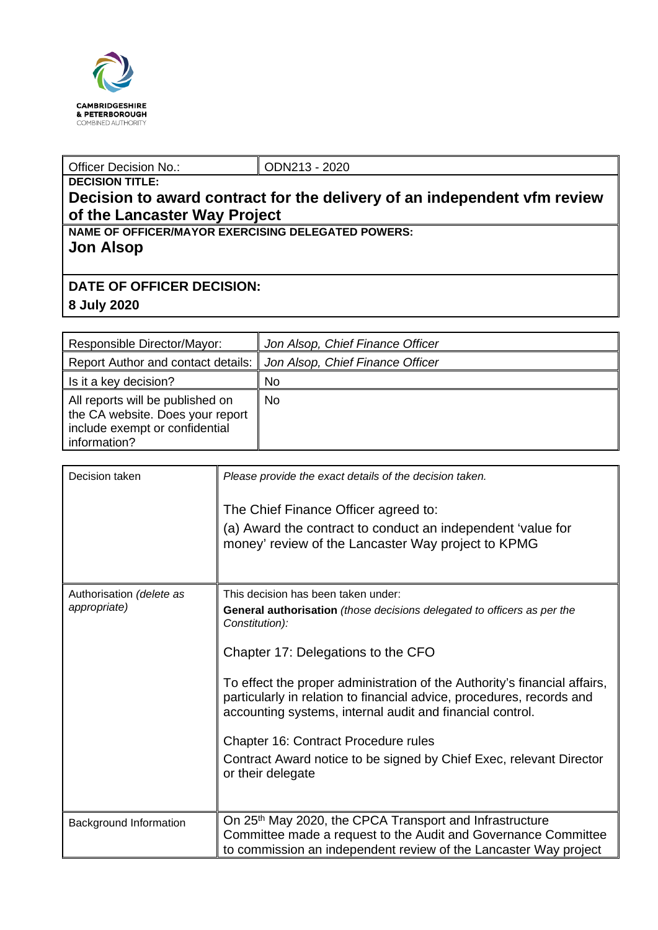

## Officer Decision No.: <br> ODN213 - 2020

## **DECISION TITLE: Decision to award contract for the delivery of an independent vfm review of the Lancaster Way Project**

**NAME OF OFFICER/MAYOR EXERCISING DELEGATED POWERS: Jon Alsop**

## **DATE OF OFFICER DECISION:**

**8 July 2020**

| Responsible Director/Mayor:                                                                                            | Jon Alsop, Chief Finance Officer |
|------------------------------------------------------------------------------------------------------------------------|----------------------------------|
| <b>Report Author and contact details:</b>                                                                              | Jon Alsop, Chief Finance Officer |
| Is it a key decision?                                                                                                  | <b>No</b>                        |
| All reports will be published on<br>the CA website. Does your report<br>include exempt or confidential<br>information? | No                               |

| Decision taken           | Please provide the exact details of the decision taken.                                                                                                                                                         |
|--------------------------|-----------------------------------------------------------------------------------------------------------------------------------------------------------------------------------------------------------------|
|                          | The Chief Finance Officer agreed to:                                                                                                                                                                            |
|                          | (a) Award the contract to conduct an independent 'value for<br>money' review of the Lancaster Way project to KPMG                                                                                               |
| Authorisation (delete as | This decision has been taken under:                                                                                                                                                                             |
| appropriate)             | General authorisation (those decisions delegated to officers as per the<br>Constitution):                                                                                                                       |
|                          | Chapter 17: Delegations to the CFO                                                                                                                                                                              |
|                          | To effect the proper administration of the Authority's financial affairs,<br>particularly in relation to financial advice, procedures, records and<br>accounting systems, internal audit and financial control. |
|                          | Chapter 16: Contract Procedure rules                                                                                                                                                                            |
|                          | Contract Award notice to be signed by Chief Exec, relevant Director<br>or their delegate                                                                                                                        |
|                          |                                                                                                                                                                                                                 |
| Background Information   | On 25 <sup>th</sup> May 2020, the CPCA Transport and Infrastructure<br>Committee made a request to the Audit and Governance Committee<br>to commission an independent review of the Lancaster Way project       |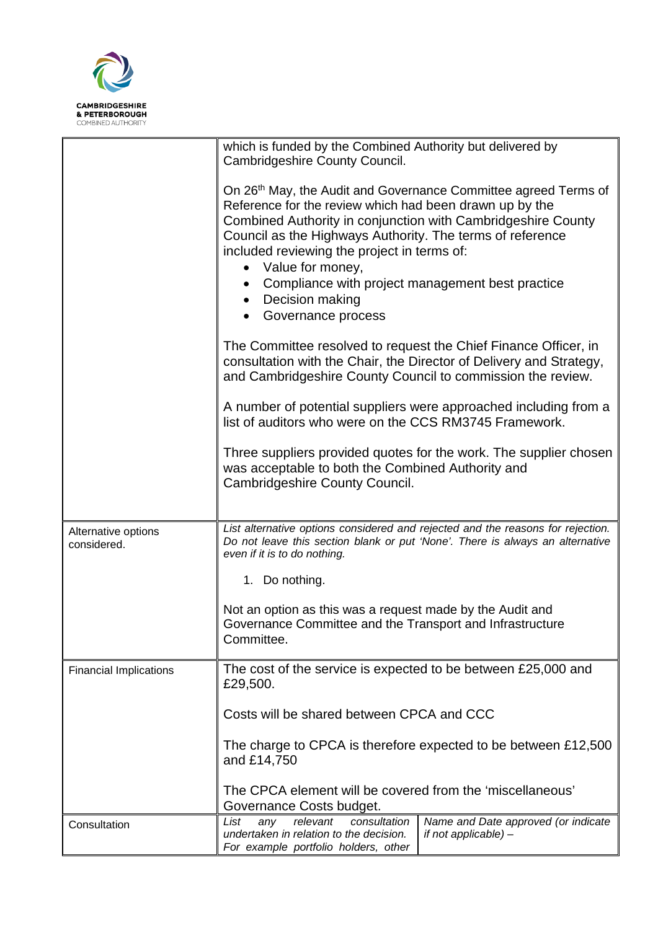

|                                    | which is funded by the Combined Authority but delivered by<br>Cambridgeshire County Council.                                                                                                                                                                                                                                                                                                                                                      |                                                                   |  |  |
|------------------------------------|---------------------------------------------------------------------------------------------------------------------------------------------------------------------------------------------------------------------------------------------------------------------------------------------------------------------------------------------------------------------------------------------------------------------------------------------------|-------------------------------------------------------------------|--|--|
|                                    | On 26th May, the Audit and Governance Committee agreed Terms of<br>Reference for the review which had been drawn up by the<br>Combined Authority in conjunction with Cambridgeshire County<br>Council as the Highways Authority. The terms of reference<br>included reviewing the project in terms of:<br>Value for money,<br>$\bullet$<br>Compliance with project management best practice<br>Decision making<br>$\bullet$<br>Governance process |                                                                   |  |  |
|                                    | The Committee resolved to request the Chief Finance Officer, in<br>consultation with the Chair, the Director of Delivery and Strategy,<br>and Cambridgeshire County Council to commission the review.                                                                                                                                                                                                                                             |                                                                   |  |  |
|                                    | A number of potential suppliers were approached including from a<br>list of auditors who were on the CCS RM3745 Framework.                                                                                                                                                                                                                                                                                                                        |                                                                   |  |  |
|                                    | was acceptable to both the Combined Authority and<br>Cambridgeshire County Council.                                                                                                                                                                                                                                                                                                                                                               | Three suppliers provided quotes for the work. The supplier chosen |  |  |
| Alternative options<br>considered. | List alternative options considered and rejected and the reasons for rejection.<br>Do not leave this section blank or put 'None'. There is always an alternative<br>even if it is to do nothing.                                                                                                                                                                                                                                                  |                                                                   |  |  |
|                                    | 1. Do nothing.                                                                                                                                                                                                                                                                                                                                                                                                                                    |                                                                   |  |  |
|                                    | Not an option as this was a request made by the Audit and<br>Governance Committee and the Transport and Infrastructure<br>Committee.                                                                                                                                                                                                                                                                                                              |                                                                   |  |  |
| <b>Financial Implications</b>      | The cost of the service is expected to be between £25,000 and<br>£29,500.<br>Costs will be shared between CPCA and CCC<br>The charge to CPCA is therefore expected to be between £12,500<br>and £14,750                                                                                                                                                                                                                                           |                                                                   |  |  |
|                                    |                                                                                                                                                                                                                                                                                                                                                                                                                                                   |                                                                   |  |  |
|                                    |                                                                                                                                                                                                                                                                                                                                                                                                                                                   |                                                                   |  |  |
|                                    | The CPCA element will be covered from the 'miscellaneous'<br>Governance Costs budget.                                                                                                                                                                                                                                                                                                                                                             |                                                                   |  |  |
| Consultation                       | relevant<br>List<br>any<br>consultation<br>undertaken in relation to the decision.<br>For example portfolio holders, other                                                                                                                                                                                                                                                                                                                        | Name and Date approved (or indicate<br>if not applicable) -       |  |  |